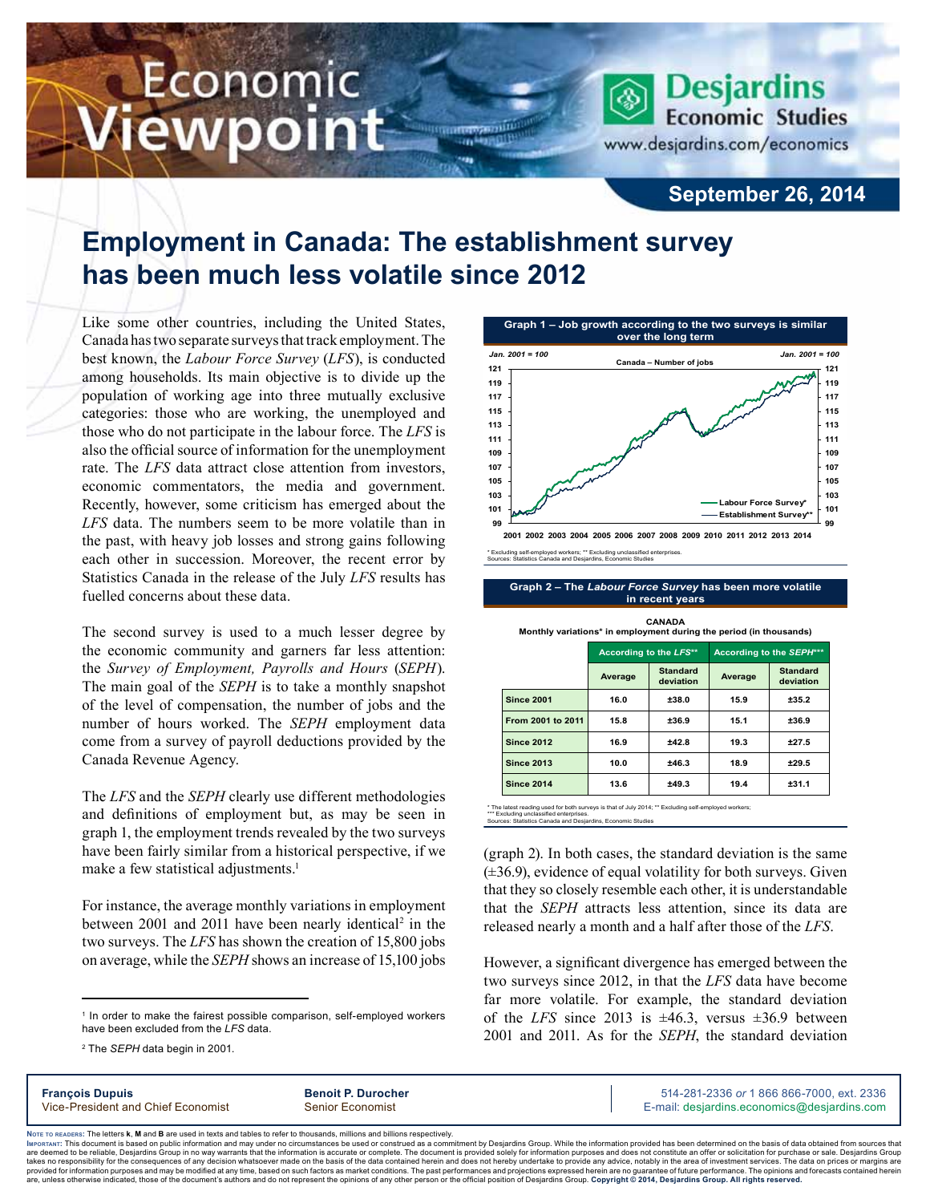## Economic iewpoint

**Desjardins Economic Studies** www.desjardins.com/economics

## **September 26, 2014**

## **Employment in Canada: The establishment survey has been much less volatile since 2012**

Like some other countries, including the United States, Canada has two separate surveys that track employment. The best known, the *Labour Force Survey* (*LFS*), is conducted among households. Its main objective is to divide up the population of working age into three mutually exclusive categories: those who are working, the unemployed and those who do not participate in the labour force. The *LFS* is also the official source of information for the unemployment rate. The *LFS* data attract close attention from investors, economic commentators, the media and government. Recently, however, some criticism has emerged about the *LFS* data. The numbers seem to be more volatile than in the past, with heavy job losses and strong gains following each other in succession. Moreover, the recent error by Statistics Canada in the release of the July *LFS* results has fuelled concerns about these data.

The second survey is used to a much lesser degree by the economic community and garners far less attention: the *Survey of Employment, Payrolls and Hours* (*SEPH*). The main goal of the *SEPH* is to take a monthly snapshot of the level of compensation, the number of jobs and the number of hours worked. The *SEPH* employment data come from a survey of payroll deductions provided by the Canada Revenue Agency.

The *LFS* and the *SEPH* clearly use different methodologies and definitions of employment but, as may be seen in graph 1, the employment trends revealed by the two surveys have been fairly similar from a historical perspective, if we make a few statistical adjustments.<sup>1</sup>

For instance, the average monthly variations in employment between 2001 and 2011 have been nearly identical<sup>2</sup> in the two surveys. The *LFS* has shown the creation of 15,800 jobs on average, while the *SEPH* shows an increase of 15,100 jobs

<sup>1</sup> In order to make the fairest possible comparison, self-employed workers have been excluded from the *LFS* data.

**Graph 1 – Job growth according to the two surveys is similar over the long term 99 101 103 105 107 109 111 113 115 117 119 121 2001 2002 2003 2004 2005 2006 2007 2008 2009 2010 2011 2012 2013 2014 99 101 103 105 107 109 111 113 115 117 119 121 Labour Force Survey\* Establishment Survey\*\* Canada – Number of jobs** *Jan. 2001 = 100 Jan. 2001 = 100*

\* Excluding self-employed workers; \*\* Excluding unclassified enterprises. Sources: Statistics Canada and Desjardins, Economic Studies

**Graph 2 – The** *Labour Force Survey* **has been more volatile in recent years**

|                   | According to the LFS** |                              | According to the SEPH*** |                              |
|-------------------|------------------------|------------------------------|--------------------------|------------------------------|
|                   | Average                | <b>Standard</b><br>deviation | Average                  | <b>Standard</b><br>deviation |
| <b>Since 2001</b> | 16.0                   | ±38.0                        | 15.9                     | ±35.2                        |
| From 2001 to 2011 | 15.8                   | ±36.9                        | 15.1                     | ±36.9                        |
| <b>Since 2012</b> | 16.9                   | ±42.8                        | 19.3                     | ±27.5                        |
| <b>Since 2013</b> | 10.0                   | ±46.3                        | 18.9                     | ±29.5                        |
| <b>Since 2014</b> | 13.6                   | ±49.3                        | 19.4                     | ±31.1                        |

**CANADA Monthly variations\* in employment during the period (in thousands)**

st reading used for both surveys is that of July 2014; \*\* Excluding self-employed workers \*\*\* Excluding unclassified enterprises. Sources: Statistics Canada and Desjardins, Economic Studies

(graph 2). In both cases, the standard deviation is the same  $(\pm 36.9)$ , evidence of equal volatility for both surveys. Given that they so closely resemble each other, it is understandable that the *SEPH* attracts less attention, since its data are released nearly a month and a half after those of the *LFS*.

However, a significant divergence has emerged between the two surveys since 2012, in that the *LFS* data have become far more volatile. For example, the standard deviation of the *LFS* since 2013 is  $\pm 46.3$ , versus  $\pm 36.9$  between 2001 and 2011. As for the *SEPH*, the standard deviation

| <b>François Dupuis</b>             | <b>Benoit P. Durocher</b> | 514-281-2336 or 1 866 866-7000, ext. 2336   |
|------------------------------------|---------------------------|---------------------------------------------|
| Vice-President and Chief Economist | <b>Senior Economist</b>   | E-mail: desjardins.economics@desjardins.com |

Noте то келоекs: The letters **k, M** and **B** are used in texts and tables to refer to thousands, millions and billions respectively.<br>Імроктлит: This document is based on public information and may under no circumstances be are deemed to be reliable. Desiardins Group in no way warrants that the information is accurate or complete. The document is provided solely for information purposes and does not constitute an offer or solicitation for pur takes no responsibility for the consequences of any decision whatsoever made on the basis of the data contained herein and does not hereby undertake to provide any advice, notably in the area of investment services. The da .<br>are, unless otherwise indicated, those of the document's authors and do not represent the opinions of any other person or the official position of Desjardins Group. Copyright © 2014, Desjardins Group. All rights reserve

<sup>2</sup> The *SEPH* data begin in 2001.